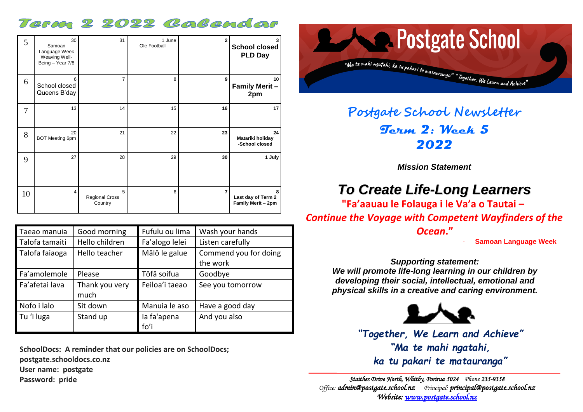## Term 2 2022 Colendor

| 5  | 30<br>Samoan<br>Language Week<br>Weaving Well-<br>Being - Year 7/8 | 31                                    | 1 June<br>Ole Football | $\mathbf{2}$   | <b>School closed</b><br><b>PLD Day</b>        |
|----|--------------------------------------------------------------------|---------------------------------------|------------------------|----------------|-----------------------------------------------|
| 6  | 6<br>School closed<br>Queens B'day                                 | $\overline{7}$                        | 8                      | 9              | 10<br><b>Family Merit -</b><br>2pm            |
| 7  | 13                                                                 | 14                                    | 15                     | 16             | 17                                            |
| 8  | 20<br><b>BOT Meeting 6pm</b>                                       | 21                                    | 22                     | 23             | 24<br>Matariki holiday<br>-School closed      |
| 9  | 27                                                                 | 28                                    | 29                     | 30             | 1 July                                        |
| 10 | $\overline{4}$                                                     | 5<br><b>Regional Cross</b><br>Country | 6                      | $\overline{7}$ | 8<br>Last day of Term 2<br>Family Merit - 2pm |

| Taeao manuia   | Good morning   | Fufulu ou lima | Wash your hands       |  |
|----------------|----------------|----------------|-----------------------|--|
| Talofa tamaiti | Hello children | Fa'alogo lelei | Listen carefully      |  |
| Talofa faiaoga | Hello teacher  | Mālō le galue  | Commend you for doing |  |
|                |                |                | the work              |  |
| Fa'amolemole   | Please         | Tōfā soifua    | Goodbye               |  |
| Fa'afetai lava | Thank you very | Feiloa'i taeao | See you tomorrow      |  |
|                | much           |                |                       |  |
| Nofo i lalo    | Sit down       | Manuia le aso  | Have a good day       |  |
| Tu 'i luga     | Stand up       | la fa'apena    | And you also          |  |
|                |                | fo'i           |                       |  |

**SchoolDocs: A reminder that our policies are on SchoolDocs; postgate.schooldocs.co.nz User name: postgate Password: pride**



# **Postgate School Newsletter Term 2: Week 5 2022**

*Mission Statement*

# *To Create Life-Long Learners*

**"Fa'aauau le Folauga i le Va'a o Tautai –** *Continue the Voyage with Competent Wayfinders of the* 

*Ocean***."**

- **Samoan Language Week**

## *Supporting statement:*

*We will promote life-long learning in our children by developing their social, intellectual, emotional and physical skills in a creative and caring environment.*



*"Together, We Learn and Achieve" "Ma te mahi ngatahi, ka tu pakari te matauranga"*

*Staithes Drive North, Whitby, Porirua 5024 Phone 235-9358 Office: [admin@postgate.school.nz](mailto:admin@postgate.school.nz) Principal: [principal@postgate.school.nz](mailto:principal@postgate.school.nz)  Website: [www.postgate.school.nz](http://www.postgate.school.nz/)*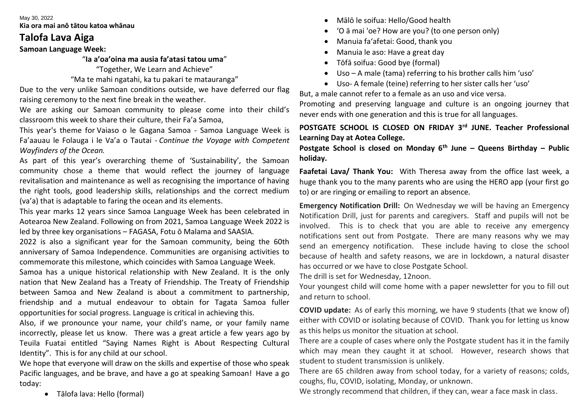#### May 30, 2022 **Kia ora mai anō tātou katoa whānau**

## **Talofa Lava Aiga**

## **Samoan Language Week:**

"**Ia a'oa'oina ma ausia fa'atasi tatou uma**"

"Together, We Learn and Achieve"

"Ma te mahi ngatahi, ka tu pakari te matauranga"

Due to the very unlike Samoan conditions outside, we have deferred our flag raising ceremony to the next fine break in the weather.

We are asking our Samoan community to please come into their child's classroom this week to share their culture, their Fa'a Samoa,

This year's theme for Vaiaso o le Gagana Samoa - Samoa Language Week is Fa'aauau le Folauga i le Va'a o Tautai - *Continue the Voyage with Competent Wayfinders of the Ocean.*

As part of this year's overarching theme of 'Sustainability', the Samoan community chose a theme that would reflect the journey of language revitalisation and maintenance as well as recognising the importance of having the right tools, good leadership skills, relationships and the correct medium (va'a) that is adaptable to faring the ocean and its elements.

This year marks 12 years since Samoa Language Week has been celebrated in Aotearoa New Zealand. Following on from 2021, Samoa Language Week 2022 is led by three key organisations – FAGASA, Fotu ō Malama and SAASIA.

2022 is also a significant year for the Samoan community, being the 60th anniversary of Samoa Independence. Communities are organising activities to commemorate this milestone, which coincides with Samoa Language Week.

Samoa has a unique historical relationship with New Zealand. It is the only nation that New Zealand has a Treaty of Friendship. The Treaty of Friendship between Samoa and New Zealand is about a commitment to partnership, friendship and a mutual endeavour to obtain for Tagata Samoa fuller opportunities for social progress. Language is critical in achieving this.

Also, if we pronounce your name, your child's name, or your family name incorrectly, please let us know. There was a great article a few years ago by Teuila Fuatai entitled "Saying Names Right is About Respecting Cultural Identity". This is for any child at our school.

We hope that everyone will draw on the skills and expertise of those who speak Pacific languages, and be brave, and have a go at speaking Samoan! Have a go today:

• Tālofa lava: Hello (formal)

- Mālō le soifua: Hello/Good health
- 'O ā mai 'oe? How are you? (to one person only)
- Manuia fa'afetai: Good, thank you
- Manuia le aso: Have a great day
- Tōfā soifua: Good bye (formal)
- Uso A male (tama) referring to his brother calls him 'uso'
- Uso- A female (teine) referring to her sister calls her 'uso'

But, a male cannot refer to a female as an uso and vice versa.

Promoting and preserving language and culture is an ongoing journey that never ends with one generation and this is true for all languages.

**POSTGATE SCHOOL IS CLOSED ON FRIDAY 3rd JUNE. Teacher Professional Learning Day at Aotea College.**

**Postgate School is closed on Monday 6th June – Queens Birthday – Public holiday.**

**Faafetai Lava/ Thank You:** With Theresa away from the office last week, a huge thank you to the many parents who are using the HERO app (your first go to) or are ringing or emailing to report an absence.

**Emergency Notification Drill:** On Wednesday we will be having an Emergency Notification Drill, just for parents and caregivers. Staff and pupils will not be involved. This is to check that you are able to receive any emergency notifications sent out from Postgate. There are many reasons why we may send an emergency notification. These include having to close the school because of health and safety reasons, we are in lockdown, a natural disaster has occurred or we have to close Postgate School.

The drill is set for Wednesday, 12noon.

Your youngest child will come home with a paper newsletter for you to fill out and return to school.

**COVID update:** As of early this morning, we have 9 students (that we know of) either with COVID or isolating because of COVID. Thank you for letting us know as this helps us monitor the situation at school.

There are a couple of cases where only the Postgate student has it in the family which may mean they caught it at school. However, research shows that student to student transmission is unlikely.

There are 65 children away from school today, for a variety of reasons; colds, coughs, flu, COVID, isolating, Monday, or unknown.

We strongly recommend that children, if they can, wear a face mask in class.